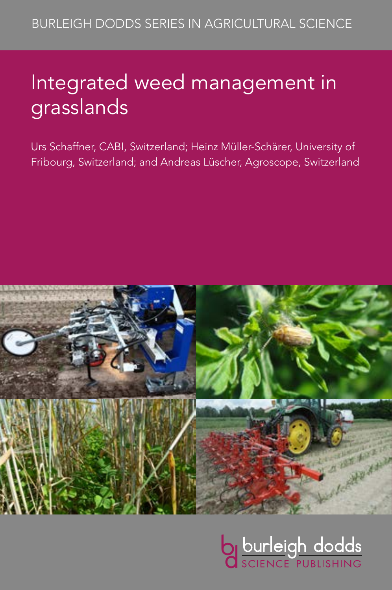# Integrated weed management in grasslands

Urs Schaffner, CABI, Switzerland; Heinz Müller-Schärer, University of Fribourg, Switzerland; and Andreas Lüscher, Agroscope, Switzerland



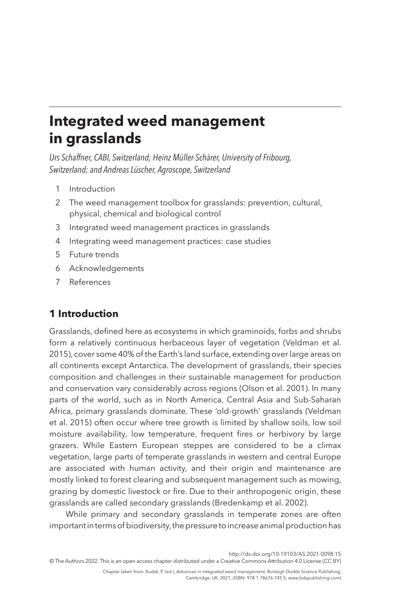## **Integrated weed management in grasslands**

*Urs Schaffner, CABI, Switzerland; Heinz Müller-Schärer, University of Fribourg, Switzerland; and Andreas Lüscher, Agroscope, Switzerland*

- <span id="page-1-1"></span>1 [Introduction](#page-1-0)
- <span id="page-1-2"></span>2 [The weed management toolbox for grasslands: prevention, cultural,](#page-3-0)  [physical, chemical and biological control](#page-3-0)
- <span id="page-1-3"></span>3 [Integrated weed management practices in grasslands](#page-7-0)
- <span id="page-1-4"></span>4 [Integrating weed management practices: case studies](#page-9-0)
- <span id="page-1-5"></span>5 [Future trends](#page-15-0)
- <span id="page-1-6"></span>6 [Acknowledgements](#page-16-0)
- <span id="page-1-7"></span>7 [References](#page-17-0)

### <span id="page-1-0"></span>**[1 Introduction](#page-1-1)**

Grasslands, defined here as ecosystems in which graminoids, forbs and shrubs form a relatively continuous herbaceous layer of vegetation [\(Veldman et al.](#page-21-0) [2015\)](#page-21-0), cover some 40% of the Earth's land surface, extending over large areas on all continents except Antarctica. The development of grasslands, their species composition and challenges in their sustainable management for production and conservation vary considerably across regions [\(Olson et al. 2001\)](#page-20-0). In many parts of the world, such as in North America, Central Asia and Sub-Saharan Africa, primary grasslands dominate. These 'old-growth' grasslands ([Veldman](#page-21-0) [et al. 2015\)](#page-21-0) often occur where tree growth is limited by shallow soils, low soil moisture availability, low temperature, frequent fires or herbivory by large grazers. While Eastern European steppes are considered to be a climax vegetation, large parts of temperate grasslands in western and central Europe are associated with human activity, and their origin and maintenance are mostly linked to forest clearing and subsequent management such as mowing, grazing by domestic livestock or fire. Due to their anthropogenic origin, these grasslands are called secondary grasslands ([Bredenkamp et al. 2002](#page-17-1)).

While primary and secondary grasslands in temperate zones are often important in terms of biodiversity, the pressure to increase animal production has

<http://dx.doi.org/10.19103/AS.2021.0098.15>

© The Authors 2022. This is an open access chapter distributed under a Creative Commons Attribution 4.0 License (CC BY)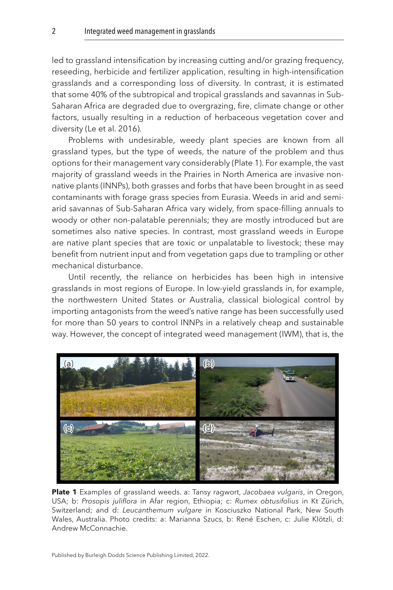led to grassland intensification by increasing cutting and/or grazing frequency, reseeding, herbicide and fertilizer application, resulting in high-intensification grasslands and a corresponding loss of diversity. In contrast, it is estimated that some 40% of the subtropical and tropical grasslands and savannas in Sub-Saharan Africa are degraded due to overgrazing, fire, climate change or other factors, usually resulting in a reduction of herbaceous vegetation cover and diversity [\(Le et al. 2016](#page-19-0)).

Problems with undesirable, weedy plant species are known from all grassland types, but the type of weeds, the nature of the problem and thus options for their management vary considerably (Plate 1). For example, the vast majority of grassland weeds in the Prairies in North America are invasive nonnative plants (INNPs), both grasses and forbs that have been brought in as seed contaminants with forage grass species from Eurasia. Weeds in arid and semiarid savannas of Sub-Saharan Africa vary widely, from space-filling annuals to woody or other non-palatable perennials; they are mostly introduced but are sometimes also native species. In contrast, most grassland weeds in Europe are native plant species that are toxic or unpalatable to livestock; these may benefit from nutrient input and from vegetation gaps due to trampling or other mechanical disturbance.

Until recently, the reliance on herbicides has been high in intensive grasslands in most regions of Europe. In low-yield grasslands in, for example, the northwestern United States or Australia, classical biological control by importing antagonists from the weed's native range has been successfully used for more than 50 years to control INNPs in a relatively cheap and sustainable way. However, the concept of integrated weed management (IWM), that is, the



**Plate 1** Examples of grassland weeds. a: Tansy ragwort, *Jacobaea vulgaris*, in Oregon, USA; b: *Prosopis juliflora* in Afar region, Ethiopia; c: *Rumex obtusifolius* in Kt Zürich, Switzerland; and d: *Leucanthemum vulgare* in Kosciuszko National Park, New South Wales, Australia. Photo credits: a: Marianna Szucs, b: René Eschen, c: Julie Klötzli, d: Andrew McConnachie.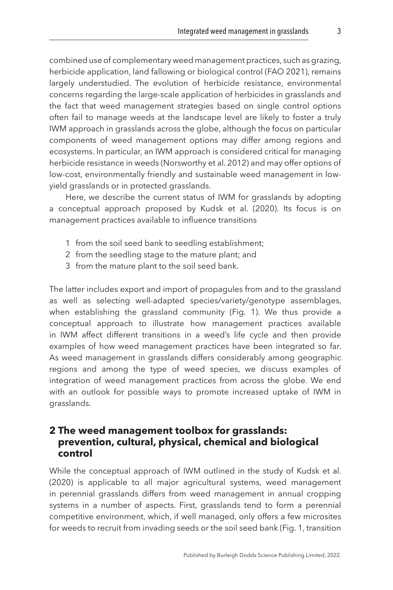combined use of complementary weed management practices, such as grazing, herbicide application, land fallowing or biological control [\(FAO 2021\)](#page-18-0), remains largely understudied. The evolution of herbicide resistance, environmental concerns regarding the large-scale application of herbicides in grasslands and the fact that weed management strategies based on single control options often fail to manage weeds at the landscape level are likely to foster a truly IWM approach in grasslands across the globe, although the focus on particular components of weed management options may differ among regions and ecosystems. In particular, an IWM approach is considered critical for managing herbicide resistance in weeds ([Norsworthy et al. 2012](#page-20-1)) and may offer options of low-cost, environmentally friendly and sustainable weed management in lowyield grasslands or in protected grasslands.

Here, we describe the current status of IWM for grasslands by adopting a conceptual approach proposed by [Kudsk et al. \(2020\).](#page-19-1) Its focus is on management practices available to influence transitions

- 1 from the soil seed bank to seedling establishment;
- 2 from the seedling stage to the mature plant; and
- 3 from the mature plant to the soil seed bank.

The latter includes export and import of propagules from and to the grassland as well as selecting well-adapted species/variety/genotype assemblages, when establishing the grassland community [\(Fig. 1](#page-4-0)). We thus provide a conceptual approach to illustrate how management practices available in IWM affect different transitions in a weed's life cycle and then provide examples of how weed management practices have been integrated so far. As weed management in grasslands differs considerably among geographic regions and among the type of weed species, we discuss examples of integration of weed management practices from across the globe. We end with an outlook for possible ways to promote increased uptake of IWM in grasslands.

#### <span id="page-3-0"></span>**[2 The weed management toolbox for grasslands:](#page-1-2)  [prevention, cultural, physical, chemical and biological](#page-1-2)  [control](#page-1-2)**

While the conceptual approach of IWM outlined in the study of [Kudsk et al.](#page-19-1) [\(2020\)](#page-19-1) is applicable to all major agricultural systems, weed management in perennial grasslands differs from weed management in annual cropping systems in a number of aspects. First, grasslands tend to form a perennial competitive environment, which, if well managed, only offers a few microsites for weeds to recruit from invading seeds or the soil seed bank ([Fig. 1,](#page-4-0) transition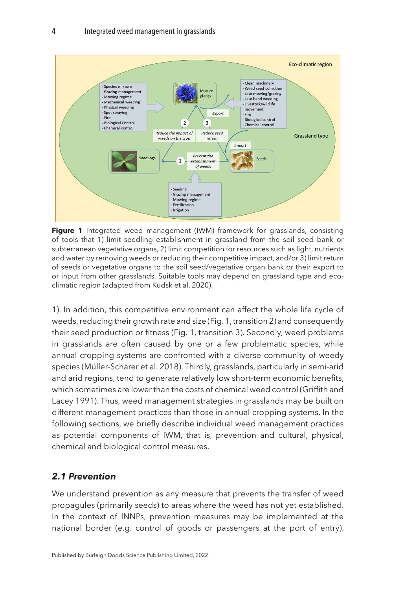<span id="page-4-0"></span>

**Figure 1** Integrated weed management (IWM) framework for grasslands, consisting of tools that 1) limit seedling establishment in grassland from the soil seed bank or subterranean vegetative organs, 2) limit competition for resources such as light, nutrients and water by removing weeds or reducing their competitive impact, and/or 3) limit return of seeds or vegetative organs to the soil seed/vegetative organ bank or their export to or input from other grasslands. Suitable tools may depend on grassland type and ecoclimatic region (adapted from [Kudsk et al. 2020\)](#page-19-1).

1). In addition, this competitive environment can affect the whole life cycle of weeds, reducing their growth rate and size (Fig. 1, transition 2) and consequently their seed production or fitness (Fig. 1, transition 3). Secondly, weed problems in grasslands are often caused by one or a few problematic species, while annual cropping systems are confronted with a diverse community of weedy species [\(Müller-Schärer et al. 2018\)](#page-19-2). Thirdly, grasslands, particularly in semi-arid and arid regions, tend to generate relatively low short-term economic benefits, which sometimes are lower than the costs of chemical weed control [\(Griffith and](#page-18-1)  [Lacey 1991](#page-18-1)). Thus, weed management strategies in grasslands may be built on different management practices than those in annual cropping systems. In the following sections, we briefly describe individual weed management practices as potential components of IWM, that is, prevention and cultural, physical, chemical and biological control measures.

#### *2.1 Prevention*

We understand prevention as any measure that prevents the transfer of weed propagules (primarily seeds) to areas where the weed has not yet established. In the context of INNPs, prevention measures may be implemented at the national border (e.g. control of goods or passengers at the port of entry).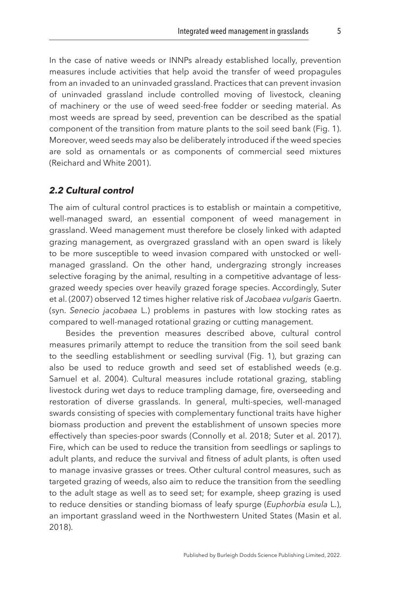In the case of native weeds or INNPs already established locally, prevention measures include activities that help avoid the transfer of weed propagules from an invaded to an uninvaded grassland. Practices that can prevent invasion of uninvaded grassland include controlled moving of livestock, cleaning of machinery or the use of weed seed-free fodder or seeding material. As most weeds are spread by seed, prevention can be described as the spatial component of the transition from mature plants to the soil seed bank [\(Fig. 1](#page-4-0)). Moreover, weed seeds may also be deliberately introduced if the weed species are sold as ornamentals or as components of commercial seed mixtures ([Reichard and White 2001\)](#page-20-2).

#### *2.2 Cultural control*

The aim of cultural control practices is to establish or maintain a competitive, well-managed sward, an essential component of weed management in grassland. Weed management must therefore be closely linked with adapted grazing management, as overgrazed grassland with an open sward is likely to be more susceptible to weed invasion compared with unstocked or wellmanaged grassland. On the other hand, undergrazing strongly increases selective foraging by the animal, resulting in a competitive advantage of lessgrazed weedy species over heavily grazed forage species. Accordingly, [Suter](#page-21-1)  [et al. \(2007\)](#page-21-1) observed 12 times higher relative risk of *Jacobaea vulgaris* Gaertn. (syn. *Senecio jacobaea* L.) problems in pastures with low stocking rates as compared to well-managed rotational grazing or cutting management.

Besides the prevention measures described above, cultural control measures primarily attempt to reduce the transition from the soil seed bank to the seedling establishment or seedling survival [\(Fig. 1](#page-4-0)), but grazing can also be used to reduce growth and seed set of established weeds (e.g. [Samuel et al. 2004\)](#page-20-3). Cultural measures include rotational grazing, stabling livestock during wet days to reduce trampling damage, fire, overseeding and restoration of diverse grasslands. In general, multi-species, well-managed swards consisting of species with complementary functional traits have higher biomass production and prevent the establishment of unsown species more effectively than species-poor swards ([Connolly et al. 2018;](#page-17-2) [Suter et al. 2017](#page-21-2)). Fire, which can be used to reduce the transition from seedlings or saplings to adult plants, and reduce the survival and fitness of adult plants, is often used to manage invasive grasses or trees. Other cultural control measures, such as targeted grazing of weeds, also aim to reduce the transition from the seedling to the adult stage as well as to seed set; for example, sheep grazing is used to reduce densities or standing biomass of leafy spurge (*Euphorbia esula* L.), an important grassland weed in the Northwestern United States [\(Masin et al.](#page-19-3) [2018\)](#page-19-3).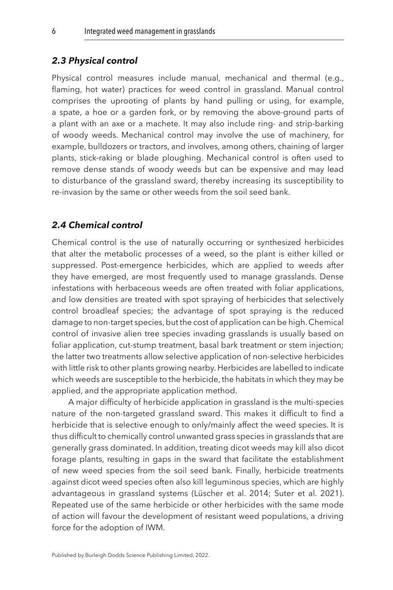#### *2.3 Physical control*

Physical control measures include manual, mechanical and thermal (e.g., flaming, hot water) practices for weed control in grassland. Manual control comprises the uprooting of plants by hand pulling or using, for example, a spate, a hoe or a garden fork, or by removing the above-ground parts of a plant with an axe or a machete. It may also include ring- and strip-barking of woody weeds. Mechanical control may involve the use of machinery, for example, bulldozers or tractors, and involves, among others, chaining of larger plants, stick-raking or blade ploughing. Mechanical control is often used to remove dense stands of woody weeds but can be expensive and may lead to disturbance of the grassland sward, thereby increasing its susceptibility to re-invasion by the same or other weeds from the soil seed bank.

#### *2.4 Chemical control*

Chemical control is the use of naturally occurring or synthesized herbicides that alter the metabolic processes of a weed, so the plant is either killed or suppressed. Post-emergence herbicides, which are applied to weeds after they have emerged, are most frequently used to manage grasslands. Dense infestations with herbaceous weeds are often treated with foliar applications, and low densities are treated with spot spraying of herbicides that selectively control broadleaf species; the advantage of spot spraying is the reduced damage to non-target species, but the cost of application can be high. Chemical control of invasive alien tree species invading grasslands is usually based on foliar application, cut-stump treatment, basal bark treatment or stem injection; the latter two treatments allow selective application of non-selective herbicides with little risk to other plants growing nearby. Herbicides are labelled to indicate which weeds are susceptible to the herbicide, the habitats in which they may be applied, and the appropriate application method.

A major difficulty of herbicide application in grassland is the multi-species nature of the non-targeted grassland sward. This makes it difficult to find a herbicide that is selective enough to only/mainly affect the weed species. It is thus difficult to chemically control unwanted grass species in grasslands that are generally grass dominated. In addition, treating dicot weeds may kill also dicot forage plants, resulting in gaps in the sward that facilitate the establishment of new weed species from the soil seed bank. Finally, herbicide treatments against dicot weed species often also kill leguminous species, which are highly advantageous in grassland systems ([Lüscher et al. 2014](#page-19-4); [Suter et al. 2021](#page-21-3)). Repeated use of the same herbicide or other herbicides with the same mode of action will favour the development of resistant weed populations, a driving force for the adoption of IWM.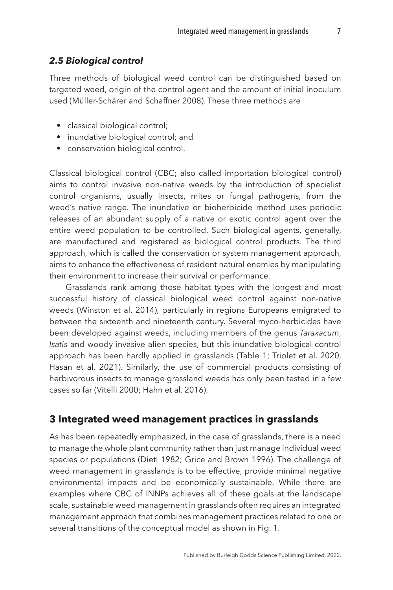#### *2.5 Biological control*

Three methods of biological weed control can be distinguished based on targeted weed, origin of the control agent and the amount of initial inoculum used [\(Müller-Schärer and Schaffner 2008\)](#page-19-5). These three methods are

- classical biological control;
- inundative biological control; and
- conservation biological control.

Classical biological control (CBC; also called importation biological control) aims to control invasive non-native weeds by the introduction of specialist control organisms, usually insects, mites or fungal pathogens, from the weed's native range. The inundative or bioherbicide method uses periodic releases of an abundant supply of a native or exotic control agent over the entire weed population to be controlled. Such biological agents, generally, are manufactured and registered as biological control products. The third approach, which is called the conservation or system management approach, aims to enhance the effectiveness of resident natural enemies by manipulating their environment to increase their survival or performance.

Grasslands rank among those habitat types with the longest and most successful history of classical biological weed control against non-native weeds ([Winston et al. 2014](#page-21-4)), particularly in regions Europeans emigrated to between the sixteenth and nineteenth century. Several myco-herbicides have been developed against weeds, including members of the genus *Taraxacum*, *Isatis* and woody invasive alien species, but this inundative biological control approach has been hardly applied in grasslands [\(Table 1;](#page-8-0) [Triolet et al. 2020,](#page-21-5) Hasan et al. 2021). Similarly, the use of commercial products consisting of herbivorous insects to manage grassland weeds has only been tested in a few cases so far [\(Vitelli 2000;](#page-21-6) [Hahn et al. 2016](#page-18-3)).

#### <span id="page-7-0"></span>**[3 Integrated weed management practices in grasslands](#page-1-3)**

As has been repeatedly emphasized, in the case of grasslands, there is a need to manage the whole plant community rather than just manage individual weed species or populations ([Dietl 1982](#page-17-3); [Grice and Brown 1996\)](#page-18-4). The challenge of weed management in grasslands is to be effective, provide minimal negative environmental impacts and be economically sustainable. While there are examples where CBC of INNPs achieves all of these goals at the landscape scale, sustainable weed management in grasslands often requires an integrated management approach that combines management practices related to one or several transitions of the conceptual model as shown in [Fig. 1.](#page-4-0)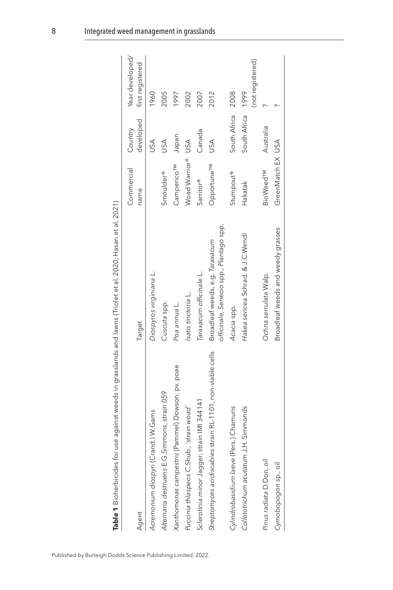<span id="page-8-0"></span>

| Agent                                                      | Target                                                                     | Commercial<br>name          | developed<br>Country | Year developed/<br>first registered |
|------------------------------------------------------------|----------------------------------------------------------------------------|-----------------------------|----------------------|-------------------------------------|
| Acremonium diospyri (Crand.) W.Gams                        | Diospyros virginiana L.                                                    |                             | USA                  | 1960                                |
| E.G.Simmons, strain 059<br>Alternaria destruens l          | Cuscuta spp.                                                               | Smoulder®                   | USA                  | 2005                                |
| Xanthomonas campestris (Pammel) Dowson, pv. poae           | Poa annua L.                                                               | Camperico <sup>TM</sup>     | Japan                | 1997                                |
| Puccinia thlaspeos C.Shub., 'strain woad'                  | Isatis tinctoria L.                                                        | Woad Warrior®               | USA                  | 2002                                |
| Sclerotinia minor Jagger, strain IMI 344141                | Taraxacum officinale L.                                                    | Sarritor®                   | Canada               | 2007                                |
| Streptomyces acidiscabies strain RL-1101, non-viable cells | officinale, Senecio spp., Plantago spp.<br>Broadleaf weeds, e.g. Taraxacum | Opportune <sup>TM</sup>     | USA                  | 2012                                |
| Cylindrobasidium laeve (Pers.) Chamuris                    | Acacia spp.                                                                | <b>Stumpout®</b>            | South Africa         | 2008                                |
| Colletotrichum acutatum J.H. Simmonds                      | Hakea sericea Schrad. & J.C.Wendl                                          | Hakatak                     | South Africa         | (not registered)<br>1999            |
| Pinus radiata D.Don, oil                                   | Ochna serrulata Walp.                                                      | <b>BioWeed<sup>TM</sup></b> | Australia            |                                     |
| Cymobopogon sp., oil                                       | Broadleaf weeds and weedy grasses                                          | GreenMatch EX USA           |                      |                                     |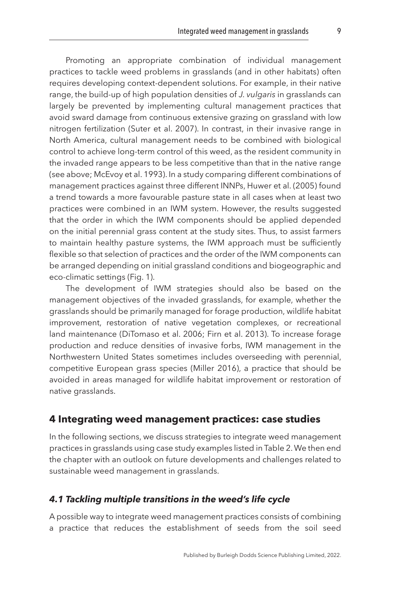Promoting an appropriate combination of individual management practices to tackle weed problems in grasslands (and in other habitats) often requires developing context-dependent solutions. For example, in their native range, the build-up of high population densities of *J. vulgaris* in grasslands can largely be prevented by implementing cultural management practices that avoid sward damage from continuous extensive grazing on grassland with low nitrogen fertilization [\(Suter et al. 2007](#page-21-1)). In contrast, in their invasive range in North America, cultural management needs to be combined with biological control to achieve long-term control of this weed, as the resident community in the invaded range appears to be less competitive than that in the native range (see above; [McEvoy et al. 1993](#page-19-6)). In a study comparing different combinations of management practices against three different INNPs, [Huwer et al. \(2005\)](#page-18-5) found a trend towards a more favourable pasture state in all cases when at least two practices were combined in an IWM system. However, the results suggested that the order in which the IWM components should be applied depended on the initial perennial grass content at the study sites. Thus, to assist farmers to maintain healthy pasture systems, the IWM approach must be sufficiently flexible so that selection of practices and the order of the IWM components can be arranged depending on initial grassland conditions and biogeographic and eco-climatic settings [\(Fig. 1\)](#page-4-0).

The development of IWM strategies should also be based on the management objectives of the invaded grasslands, for example, whether the grasslands should be primarily managed for forage production, wildlife habitat improvement, restoration of native vegetation complexes, or recreational land maintenance ([DiTomaso et al. 2006;](#page-17-4) [Firn et al. 2013\)](#page-18-6). To increase forage production and reduce densities of invasive forbs, IWM management in the Northwestern United States sometimes includes overseeding with perennial, competitive European grass species ([Miller 2016](#page-19-7)), a practice that should be avoided in areas managed for wildlife habitat improvement or restoration of native grasslands.

#### <span id="page-9-0"></span>**[4 Integrating weed management practices: case studies](#page-1-4)**

In the following sections, we discuss strategies to integrate weed management practices in grasslands using case study examples listed in [Table 2.](#page-11-0) We then end the chapter with an outlook on future developments and challenges related to sustainable weed management in grasslands.

#### *4.1 Tackling multiple transitions in the weed's life cycle*

A possible way to integrate weed management practices consists of combining a practice that reduces the establishment of seeds from the soil seed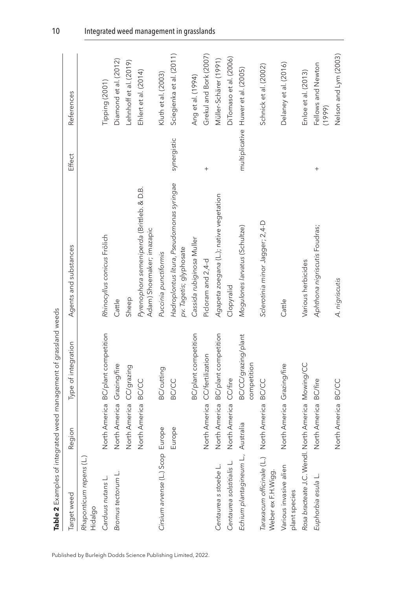| Target weed                                        | Region                         | Type of integration                | Agents and substances                                                  | Effect      | References                         |
|----------------------------------------------------|--------------------------------|------------------------------------|------------------------------------------------------------------------|-------------|------------------------------------|
| Rhaponticum repens (L.)<br>Hidalgo                 |                                |                                    |                                                                        |             |                                    |
| Carduus nutans L.                                  |                                | North America BC/plant competition | Rhinocyllus conicus Frölich                                            |             | Tipping (2001)                     |
| Bromus tectorum L.                                 | North America Grazing/fire     |                                    | Cattle                                                                 |             | Diamond et al. (2012)              |
|                                                    | North America CC/grazing       |                                    | Sheep                                                                  |             | Lehnhoff et al. (2019)             |
|                                                    | North America BC/CC            |                                    | Pyrenophora semeniperda (Brittleb. & D.B.<br>Adam) Shoemaker; imazapic |             | Ehlert et al. (2014)               |
| Cirsium arvense (L.) Scop Europe                   |                                | <b>BC/cutting</b>                  | Puccinia punctiformis                                                  |             | Kluth et al. (2003)                |
|                                                    | Europe                         | <b>BC/CC</b>                       | Hadroplontus litura, Pseudomonas syringae<br>pv. Tagetis; glyphosate   | synergistic | Sciegienka et al. (2011)           |
|                                                    |                                | BC/plant competition               | Cassida rubiginosa Muller                                              |             | Ang et al. (1994)                  |
|                                                    | North America CC/fertilization |                                    | Picloram and 2,4-d                                                     | $^{+}$      | Grekul and Bork (2007)             |
| Centaurea s stoebe L.                              |                                | North America BC/plant competition | Agapeta zoegana (L.); native vegetation                                |             | Müller-Schärer (1991)              |
| Centaurea solstitialis L.                          | North America CC/fire          |                                    | Clopyralid                                                             |             | DiTomaso et al. (2006)             |
| Echium plantagineum L., Australia                  |                                | BC/CC/grazing/plant<br>competition | Mogulones larvatus (Schultze)                                          |             | multiplicative Huwer et al. (2005) |
| Taraxacum officinale (<br>Weber ex F.H.Wigg.       | L.) North America BC/CC        |                                    | Sclerotinia minor Jagger; 2,4-D                                        |             | Schnick et al. (2002)              |
| Various invasive alien<br>plant species            | North America Grazing/fire     |                                    | Cattle                                                                 |             | Delaney et al. (2016)              |
| Rosa bracteate J.C. Wendl. North America Mowing/CC |                                |                                    | Various herbicides                                                     |             | Enloe et al. (2013)                |
| Euphorbia esula L.                                 | North America BC/fire          |                                    | Aphthona nigriscutis Foudras;                                          |             | Fellows and Newton<br>(1999)       |
|                                                    | North America BC/CC            |                                    | A. nigriscutis                                                         |             | Nelson and Lym (2003)              |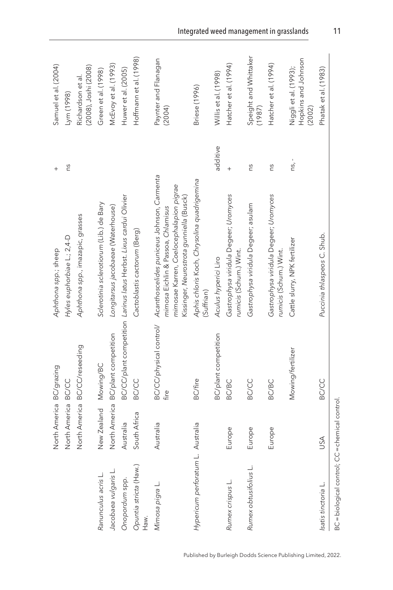<span id="page-11-0"></span>

|                                                 | North America BC/grazing |                                    | Aphthona spp.; sheep                                                                                                                                                    | $^{+}$     | Samuel et al. (2004)                                   |
|-------------------------------------------------|--------------------------|------------------------------------|-------------------------------------------------------------------------------------------------------------------------------------------------------------------------|------------|--------------------------------------------------------|
|                                                 | North America BC/CC      |                                    | Hyles euphorbiae L.; 2,4-D                                                                                                                                              | ns         | Lym (1998)                                             |
|                                                 |                          | North America BC/CC/reseeding      | Aphthona spp., imazapic, grasses                                                                                                                                        |            | (2008), Joshi (2008)<br>Richardson et al.              |
| Ranunculus acris L.                             | New Zealand Mowing/BC    |                                    | Sclerotinia sclerotiorum (Lib.) de Bary                                                                                                                                 |            | Green et al. (1998)                                    |
| Jacobaea vulgaris L.                            |                          | North America BC/plant competition | Longitarsus jacobaeae (Waterhouse)                                                                                                                                      |            | McEvoy et al. (1993)                                   |
| Onopordum spp.                                  | Australia                |                                    | BC/CC/plant competition Larinus latus Herbst. Lixus cardui Olivier                                                                                                      |            | Huwer et al. (2005)                                    |
| Opuntia stricta (Haw.)<br>Haw.                  | South Africa             | <b>BC/CC</b>                       | Cactoblastis cactorum (Berg)                                                                                                                                            |            | Hoffmann et al. (1998)                                 |
| Mimosa pigra L.                                 | Australia                | BC/CC/physical control/<br>fire    | Acanthoscelides puniceus Johnson, Carmenta<br>mimosae Karren, Coelocephalapion pigrae<br>Kissinger, Neurostrota gunniella (Busck)<br>mimosa Eichlin & Passoa, Chlamisus |            | Paynter and Flanagan<br>(2004)                         |
| Hypericum perforatum                            | L. Australia             | <b>BC/fire</b>                     | Aphis chloris Koch, Chrysolina quadrigemina<br>(Suffrian)                                                                                                               |            | <b>Briese</b> (1996)                                   |
|                                                 |                          | <b>BC/plant competition</b>        | Aculus hyperici Liro                                                                                                                                                    | additive   | Willis et al. (1998)                                   |
| Rumex crispus L.                                | Europe                   | <b>BC/BC</b>                       | Gastrophysa viridula Degeer; Uromyces<br>rumicis (Schum.) Wint.                                                                                                         |            | Hatcher et al. (1994)                                  |
| Rumex obtusifolius L.                           | Europe                   | <b>BC/CC</b>                       | Gastrophysa viridula Degeer; asulam                                                                                                                                     | ns         | Speight and Whittaker<br>(1987)                        |
|                                                 | Europe                   | <b>BC/BC</b>                       | Gastrophysa viridula Degeer; Uromyces<br>rumicis (Schum.) Wint.                                                                                                         | SU         | Hatcher et al. (1994)                                  |
|                                                 |                          | Mowing/fertilizer                  | Cattle slurry, NPK fertilizer                                                                                                                                           | $ns_{l}$ - | Hopkins and Johnson<br>Niggli et al. (1993);<br>(2002) |
| Isatis tinctoria L.                             | USA                      | <b>BC/CC</b>                       | Puccinia thlaspeos C. Shub.                                                                                                                                             |            | Phatak et al. (1983)                                   |
| BC = biological control; CC = chemical control. |                          |                                    |                                                                                                                                                                         |            |                                                        |

Published by Burleigh Dodds Science Publishing Limited, 2022.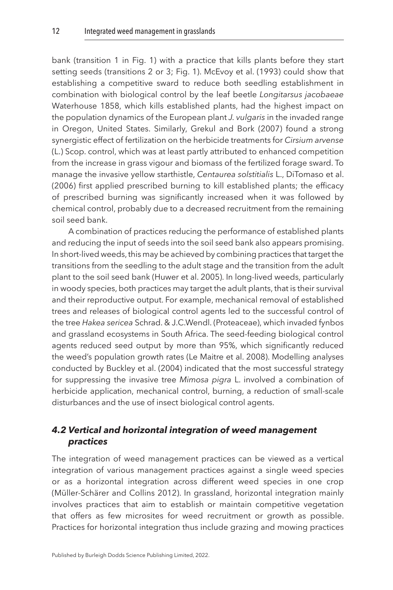bank (transition 1 in [Fig. 1\)](#page-4-0) with a practice that kills plants before they start setting seeds (transitions 2 or 3; [Fig. 1\)](#page-4-0). [McEvoy et al. \(1993\)](#page-19-6) could show that establishing a competitive sward to reduce both seedling establishment in combination with biological control by the leaf beetle *Longitarsus jacobaeae* Waterhouse 1858, which kills established plants, had the highest impact on the population dynamics of the European plant *J. vulgaris* in the invaded range in Oregon, United States. Similarly, [Grekul and Bork \(2007\)](#page-18-7) found a strong synergistic effect of fertilization on the herbicide treatments for *Cirsium arvense* (L.) Scop. control, which was at least partly attributed to enhanced competition from the increase in grass vigour and biomass of the fertilized forage sward. To manage the invasive yellow starthistle, *Centaurea solstitialis* L., [DiTomaso et al.](#page-17-4)  [\(2006\)](#page-17-4) first applied prescribed burning to kill established plants; the efficacy of prescribed burning was significantly increased when it was followed by chemical control, probably due to a decreased recruitment from the remaining soil seed bank.

A combination of practices reducing the performance of established plants and reducing the input of seeds into the soil seed bank also appears promising. In short-lived weeds, this may be achieved by combining practices that target the transitions from the seedling to the adult stage and the transition from the adult plant to the soil seed bank [\(Huwer et al. 2005\)](#page-18-5). In long-lived weeds, particularly in woody species, both practices may target the adult plants, that is their survival and their reproductive output. For example, mechanical removal of established trees and releases of biological control agents led to the successful control of the tree *Hakea sericea* Schrad. & J.C.Wendl. (Proteaceae), which invaded fynbos and grassland ecosystems in South Africa. The seed-feeding biological control agents reduced seed output by more than 95%, which significantly reduced the weed's population growth rates [\(Le Maitre et al. 2008\)](#page-19-13). Modelling analyses conducted by [Buckley et al. \(2004\)](#page-17-11) indicated that the most successful strategy for suppressing the invasive tree *Mimosa pigra* L. involved a combination of herbicide application, mechanical control, burning, a reduction of small-scale disturbances and the use of insect biological control agents.

#### *4.2 Vertical and horizontal integration of weed management practices*

The integration of weed management practices can be viewed as a vertical integration of various management practices against a single weed species or as a horizontal integration across different weed species in one crop ([Müller-Schärer and Collins 2012\)](#page-19-14). In grassland, horizontal integration mainly involves practices that aim to establish or maintain competitive vegetation that offers as few microsites for weed recruitment or growth as possible. Practices for horizontal integration thus include grazing and mowing practices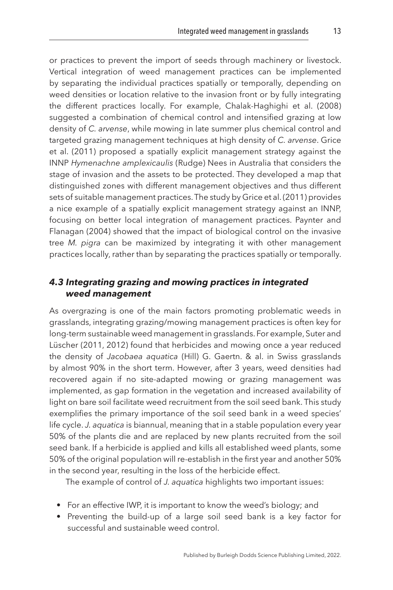or practices to prevent the import of seeds through machinery or livestock. Vertical integration of weed management practices can be implemented by separating the individual practices spatially or temporally, depending on weed densities or location relative to the invasion front or by fully integrating the different practices locally. For example, [Chalak-Haghighi et al. \(2008\)](#page-17-12) suggested a combination of chemical control and intensified grazing at low density of *C. arvense*, while mowing in late summer plus chemical control and targeted grazing management techniques at high density of *C. arvense*. [Grice](#page-18-14) [et al. \(2011\)](#page-18-14) proposed a spatially explicit management strategy against the INNP *Hymenachne amplexicaulis* (Rudge) Nees in Australia that considers the stage of invasion and the assets to be protected. They developed a map that distinguished zones with different management objectives and thus different sets of suitable management practices. The study by [Grice et al. \(2011\)](#page-18-14) provides a nice example of a spatially explicit management strategy against an INNP, focusing on better local integration of management practices. [Paynter and](#page-20-7) [Flanagan \(2004\)](#page-20-7) showed that the impact of biological control on the invasive tree *M. pigra* can be maximized by integrating it with other management practices locally, rather than by separating the practices spatially or temporally.

#### *4.3 Integrating grazing and mowing practices in integrated weed management*

As overgrazing is one of the main factors promoting problematic weeds in grasslands, integrating grazing/mowing management practices is often key for long-term sustainable weed management in grasslands. For example, Suter and Lüscher [\(2011](#page-21-9), [2012\)](#page-21-10) found that herbicides and mowing once a year reduced the density of *Jacobaea aquatica* (Hill) G. Gaertn. & al. in Swiss grasslands by almost 90% in the short term. However, after 3 years, weed densities had recovered again if no site-adapted mowing or grazing management was implemented, as gap formation in the vegetation and increased availability of light on bare soil facilitate weed recruitment from the soil seed bank. This study exemplifies the primary importance of the soil seed bank in a weed species' life cycle. *J. aquatica* is biannual, meaning that in a stable population every year 50% of the plants die and are replaced by new plants recruited from the soil seed bank. If a herbicide is applied and kills all established weed plants, some 50% of the original population will re-establish in the first year and another 50% in the second year, resulting in the loss of the herbicide effect.

The example of control of *J. aquatica* highlights two important issues:

- For an effective IWP, it is important to know the weed's biology; and
- Preventing the build-up of a large soil seed bank is a key factor for successful and sustainable weed control.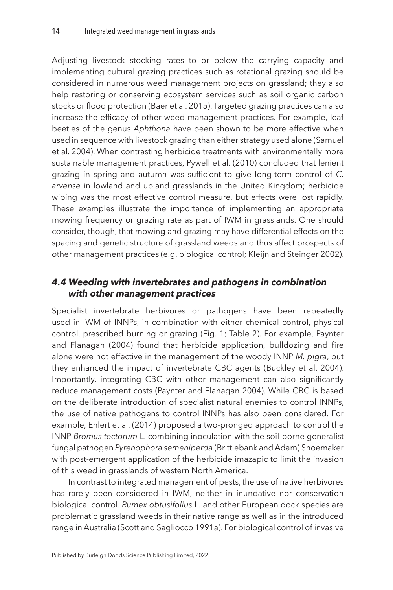Adjusting livestock stocking rates to or below the carrying capacity and implementing cultural grazing practices such as rotational grazing should be considered in numerous weed management projects on grassland; they also help restoring or conserving ecosystem services such as soil organic carbon stocks or flood protection [\(Baer et al. 2015\)](#page-17-13). Targeted grazing practices can also increase the efficacy of other weed management practices. For example, leaf beetles of the genus *Aphthona* have been shown to be more effective when used in sequence with livestock grazing than either strategy used alone [\(Samuel](#page-20-3)  [et al. 2004](#page-20-3)). When contrasting herbicide treatments with environmentally more sustainable management practices, [Pywell et al. \(2010\)](#page-20-11) concluded that lenient grazing in spring and autumn was sufficient to give long-term control of *C. arvense* in lowland and upland grasslands in the United Kingdom; herbicide wiping was the most effective control measure, but effects were lost rapidly. These examples illustrate the importance of implementing an appropriate mowing frequency or grazing rate as part of IWM in grasslands. One should consider, though, that mowing and grazing may have differential effects on the spacing and genetic structure of grassland weeds and thus affect prospects of other management practices (e.g. biological control; [Kleijn and Steinger 2002](#page-18-15)).

#### *4.4 Weeding with invertebrates and pathogens in combination with other management practices*

Specialist invertebrate herbivores or pathogens have been repeatedly used in IWM of INNPs, in combination with either chemical control, physical control, prescribed burning or grazing ([Fig. 1;](#page-4-0) [Table 2\)](#page-11-0). For example, [Paynter](#page-20-7)  [and Flanagan \(2004\)](#page-20-7) found that herbicide application, bulldozing and fire alone were not effective in the management of the woody INNP *M. pigra*, but they enhanced the impact of invertebrate CBC agents ([Buckley et al. 2004](#page-17-11)). Importantly, integrating CBC with other management can also significantly reduce management costs ([Paynter and Flanagan 2004](#page-20-7)). While CBC is based on the deliberate introduction of specialist natural enemies to control INNPs, the use of native pathogens to control INNPs has also been considered. For example, [Ehlert et al. \(2014\)](#page-17-6) proposed a two-pronged approach to control the INNP *Bromus tectorum* L. combining inoculation with the soil-borne generalist fungal pathogen *Pyrenophora semeniperda* (Brittlebank and Adam) Shoemaker with post-emergent application of the herbicide imazapic to limit the invasion of this weed in grasslands of western North America.

In contrast to integrated management of pests, the use of native herbivores has rarely been considered in IWM, neither in inundative nor conservation biological control. *Rumex obtusifolius* L. and other European dock species are problematic grassland weeds in their native range as well as in the introduced range in Australia ([Scott and Sagliocco 1991a](#page-20-12)). For biological control of invasive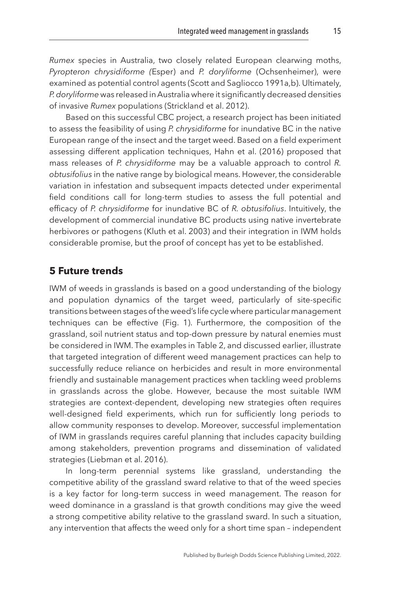*Rumex* species in Australia, two closely related European clearwing moths, *Pyropteron chrysidiforme (*Esper) and *P. doryliforme* (Ochsenheimer), were examined as potential control agents ([Scott and Sagliocco 1991a](#page-20-12),[b\)](#page-20-13). Ultimately, *P. doryliforme* was released in Australia where it significantly decreased densities of invasive *Rumex* populations [\(Strickland et al. 2012](#page-21-11)).

Based on this successful CBC project, a research project has been initiated to assess the feasibility of using *P. chrysidiforme* for inundative BC in the native European range of the insect and the target weed. Based on a field experiment assessing different application techniques, [Hahn et al. \(2016\)](#page-18-3) proposed that mass releases of *P. chrysidiforme* may be a valuable approach to control *R. obtusifolius* in the native range by biological means. However, the considerable variation in infestation and subsequent impacts detected under experimental field conditions call for long-term studies to assess the full potential and efficacy of *P. chrysidiforme* for inundative BC of *R. obtusifolius*. Intuitively, the development of commercial inundative BC products using native invertebrate herbivores or pathogens ([Kluth et al. 2003\)](#page-19-9) and their integration in IWM holds considerable promise, but the proof of concept has yet to be established.

#### <span id="page-15-0"></span>**[5 Future trends](#page-1-5)**

IWM of weeds in grasslands is based on a good understanding of the biology and population dynamics of the target weed, particularly of site-specific transitions between stages of the weed's life cycle where particular management techniques can be effective [\(Fig. 1\)](#page-4-0). Furthermore, the composition of the grassland, soil nutrient status and top-down pressure by natural enemies must be considered in IWM. The examples in [Table 2](#page-11-0), and discussed earlier, illustrate that targeted integration of different weed management practices can help to successfully reduce reliance on herbicides and result in more environmental friendly and sustainable management practices when tackling weed problems in grasslands across the globe. However, because the most suitable IWM strategies are context-dependent, developing new strategies often requires well-designed field experiments, which run for sufficiently long periods to allow community responses to develop. Moreover, successful implementation of IWM in grasslands requires careful planning that includes capacity building among stakeholders, prevention programs and dissemination of validated strategies ([Liebman et al. 2016](#page-19-15)).

In long-term perennial systems like grassland, understanding the competitive ability of the grassland sward relative to that of the weed species is a key factor for long-term success in weed management. The reason for weed dominance in a grassland is that growth conditions may give the weed a strong competitive ability relative to the grassland sward. In such a situation, any intervention that affects the weed only for a short time span – independent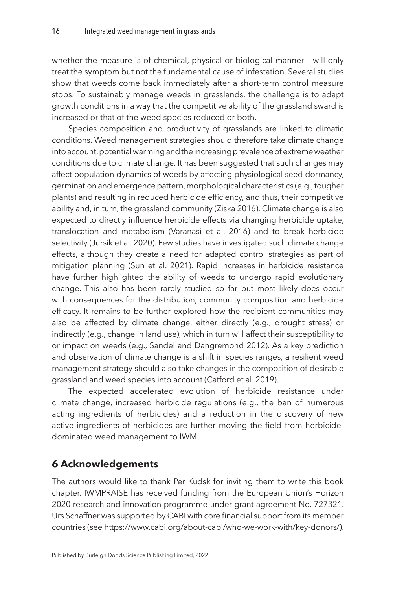whether the measure is of chemical, physical or biological manner – will only treat the symptom but not the fundamental cause of infestation. Several studies show that weeds come back immediately after a short-term control measure stops. To sustainably manage weeds in grasslands, the challenge is to adapt growth conditions in a way that the competitive ability of the grassland sward is increased or that of the weed species reduced or both.

Species composition and productivity of grasslands are linked to climatic conditions. Weed management strategies should therefore take climate change into account, potential warming and the increasing prevalence of extreme weather conditions due to climate change. It has been suggested that such changes may affect population dynamics of weeds by affecting physiological seed dormancy, germination and emergence pattern, morphological characteristics (e.g., tougher plants) and resulting in reduced herbicide efficiency, and thus, their competitive ability and, in turn, the grassland community ([Ziska 2016\)](#page-21-12). Climate change is also expected to directly influence herbicide effects via changing herbicide uptake, translocation and metabolism [\(Varanasi et al. 2016](#page-21-13)) and to break herbicide selectivity [\(Jursík et al. 2020\)](#page-18-16). Few studies have investigated such climate change effects, although they create a need for adapted control strategies as part of mitigation planning [\(Sun et al. 2021](#page-21-14)). Rapid increases in herbicide resistance have further highlighted the ability of weeds to undergo rapid evolutionary change. This also has been rarely studied so far but most likely does occur with consequences for the distribution, community composition and herbicide efficacy. It remains to be further explored how the recipient communities may also be affected by climate change, either directly (e.g., drought stress) or indirectly (e.g., change in land use), which in turn will affect their susceptibility to or impact on weeds (e.g., [Sandel and Dangremond 2012\)](#page-20-14). As a key prediction and observation of climate change is a shift in species ranges, a resilient weed management strategy should also take changes in the composition of desirable grassland and weed species into account ([Catford et al. 2019\)](#page-17-14).

The expected accelerated evolution of herbicide resistance under climate change, increased herbicide regulations (e.g., the ban of numerous acting ingredients of herbicides) and a reduction in the discovery of new active ingredients of herbicides are further moving the field from herbicidedominated weed management to IWM.

#### <span id="page-16-0"></span>**[6 Acknowledgements](#page-1-6)**

The authors would like to thank Per Kudsk for inviting them to write this book chapter. IWMPRAISE has received funding from the European Union's Horizon 2020 research and innovation programme under grant agreement No. 727321. Urs Schaffner was supported by CABI with core financial support from its member countries (see [https://www.cabi.org/about-cabi/who-we-work-with/key-donors/\).](https://www.cabi.org/about-cabi/who-we-work-with/key-donors/))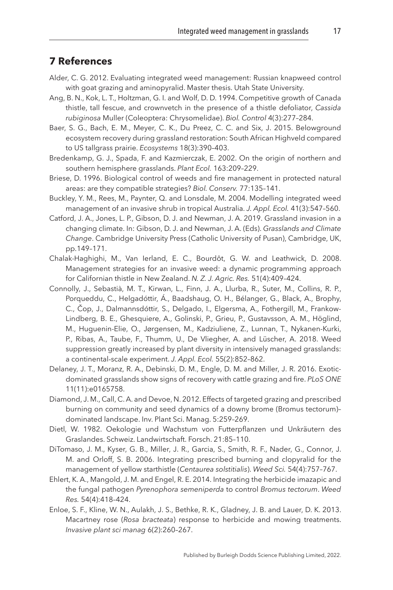#### <span id="page-17-0"></span>**[7 References](#page-1-7)**

- Alder, C. G. 2012. Evaluating integrated weed management: Russian knapweed control with goat grazing and aminopyralid. Master thesis. Utah State University.
- <span id="page-17-7"></span>Ang, B. N., Kok, L. T., Holtzman, G. I. and Wolf, D. D. 1994. Competitive growth of Canada thistle, tall fescue, and crownvetch in the presence of a thistle defoliator, *Cassida rubiginosa* Muller (Coleoptera: Chrysomelidae). *Biol. Control* 4(3):277–284.
- <span id="page-17-13"></span>Baer, S. G., Bach, E. M., Meyer, C. K., Du Preez, C. C. and Six, J. 2015. Belowground ecosystem recovery during grassland restoration: South African Highveld compared to US tallgrass prairie. *Ecosystems* 18(3):390–403.
- <span id="page-17-1"></span>Bredenkamp, G. J., Spada, F. and Kazmierczak, E. 2002. On the origin of northern and southern hemisphere grasslands. *Plant Ecol.* 163:209–229.
- <span id="page-17-10"></span>Briese, D. 1996. Biological control of weeds and fire management in protected natural areas: are they compatible strategies? *Biol. Conserv.* 77:135–141.
- <span id="page-17-11"></span>Buckley, Y. M., Rees, M., Paynter, Q. and Lonsdale, M. 2004. Modelling integrated weed management of an invasive shrub in tropical Australia. *J. Appl. Ecol.* 41(3):547–560.
- <span id="page-17-14"></span>Catford, J. A., Jones, L. P., Gibson, D. J. and Newman, J. A. 2019. Grassland invasion in a changing climate. In: Gibson, D. J. and Newman, J. A. (Eds). *Grasslands and Climate Change*. Cambridge University Press (Catholic University of Pusan), Cambridge, UK, pp.149–171.
- <span id="page-17-12"></span>Chalak-Haghighi, M., Van Ierland, E. C., Bourdôt, G. W. and Leathwick, D. 2008. Management strategies for an invasive weed: a dynamic programming approach for Californian thistle in New Zealand. *N. Z. J. Agric. Res.* 51(4):409–424.
- <span id="page-17-2"></span>Connolly, J., Sebastià, M. T., Kirwan, L., Finn, J. A., Llurba, R., Suter, M., Collins, R. P., Porqueddu, C., Helgadóttir, Á., Baadshaug, O. H., Bélanger, G., Black, A., Brophy, C., Čop, J., Dalmannsdóttir, S., Delgado, I., Elgersma, A., Fothergill, M., Frankow-Lindberg, B. E., Ghesquiere, A., Golinski, P., Grieu, P., Gustavsson, A. M., Höglind, M., Huguenin-Elie, O., Jørgensen, M., Kadziuliene, Z., Lunnan, T., Nykanen-Kurki, P., Ribas, A., Taube, F., Thumm, U., De Vliegher, A. and Lüscher, A. 2018. Weed suppression greatly increased by plant diversity in intensively managed grasslands: a continental‐scale experiment. *J. Appl. Ecol.* 55(2):852–862.
- <span id="page-17-8"></span>Delaney, J. T., Moranz, R. A., Debinski, D. M., Engle, D. M. and Miller, J. R. 2016. Exoticdominated grasslands show signs of recovery with cattle grazing and fire. *PLoS ONE* 11(11):e0165758.
- <span id="page-17-5"></span>Diamond, J. M., Call, C. A. and Devoe, N. 2012. Effects of targeted grazing and prescribed burning on community and seed dynamics of a downy brome (Bromus tectorum)– dominated landscape. Inv. Plant Sci. Manag. 5:259–269.
- <span id="page-17-3"></span>Dietl, W. 1982. Oekologie und Wachstum von Futterpflanzen und Unkräutern des Graslandes. Schweiz. Landwirtschaft. Forsch. 21:85–110.
- <span id="page-17-4"></span>DiTomaso, J. M., Kyser, G. B., Miller, J. R., Garcia, S., Smith, R. F., Nader, G., Connor, J. M. and Orloff, S. B. 2006. Integrating prescribed burning and clopyralid for the management of yellow starthistle (*Centaurea solstitialis*). *Weed Sci.* 54(4):757–767.
- <span id="page-17-6"></span>Ehlert, K. A., Mangold, J. M. and Engel, R. E. 2014. Integrating the herbicide imazapic and the fungal pathogen *Pyrenophora semeniperda* to control *Bromus tectorum*. *Weed Res.* 54(4):418–424.
- <span id="page-17-9"></span>Enloe, S. F., Kline, W. N., Aulakh, J. S., Bethke, R. K., Gladney, J. B. and Lauer, D. K. 2013. Macartney rose (*Rosa bracteata*) response to herbicide and mowing treatments. *Invasive plant sci manag* 6(2):260–267.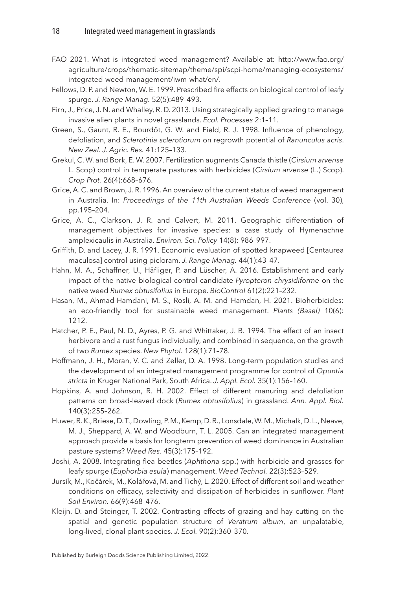- <span id="page-18-0"></span>FAO 2021. What is integrated weed management? Available at: [http://www.fao.org/](http://dx.doi.org/http://www.fao.org/agriculture/crops/thematic-sitemap/theme/spi/scpi-home/managing-ecosystems/integrated-weed-management/iwm-what/en/) [agriculture/crops/thematic-sitemap/theme/spi/scpi-home/managing-ecosystems/](http://dx.doi.org/http://www.fao.org/agriculture/crops/thematic-sitemap/theme/spi/scpi-home/managing-ecosystems/integrated-weed-management/iwm-what/en/) [integrated-weed-management/iwm-what/en/.](http://dx.doi.org/http://www.fao.org/agriculture/crops/thematic-sitemap/theme/spi/scpi-home/managing-ecosystems/integrated-weed-management/iwm-what/en/)
- <span id="page-18-8"></span>Fellows, D. P. and Newton, W. E. 1999. Prescribed fire effects on biological control of leafy spurge. *J. Range Manag.* 52(5):489–493.
- <span id="page-18-6"></span>Firn, J., Price, J. N. and Whalley, R. D. 2013. Using strategically applied grazing to manage invasive alien plants in novel grasslands. *Ecol. Processes* 2:1–11.
- <span id="page-18-10"></span>Green, S., Gaunt, R. E., Bourdôt, G. W. and Field, R. J. 1998. Influence of phenology, defoliation, and *Sclerotinia sclerotiorum* on regrowth potential of *Ranunculus acris*. *New Zeal. J. Agric. Res.* 41:125–133.
- <span id="page-18-7"></span>Grekul, C. W. and Bork, E. W. 2007. Fertilization augments Canada thistle (*Cirsium arvense* L. Scop) control in temperate pastures with herbicides (*Cirsium arvense* (L.) Scop). *Crop Prot.* 26(4):668–676.
- <span id="page-18-4"></span>Grice, A. C. and Brown, J. R. 1996. An overview of the current status of weed management in Australia. In: *Proceedings of the 11th Australian Weeds Conference* (vol. 30), pp.195–204.
- <span id="page-18-14"></span>Grice, A. C., Clarkson, J. R. and Calvert, M. 2011. Geographic differentiation of management objectives for invasive species: a case study of Hymenachne amplexicaulis in Australia. *Environ. Sci. Policy* 14(8): 986–997.
- <span id="page-18-1"></span>Griffith, D. and Lacey, J. R. 1991. Economic evaluation of spotted knapweed [Centaurea maculosa] control using picloram. *J. Range Manag.* 44(1):43–47.
- <span id="page-18-3"></span>Hahn, M. A., Schaffner, U., Häfliger, P. and Lüscher, A. 2016. Establishment and early impact of the native biological control candidate *Pyropteron chrysidiforme* on the native weed *Rumex obtusifolius* in Europe. *BioControl* 61(2):221–232.
- <span id="page-18-2"></span>Hasan, M., Ahmad-Hamdani, M. S., Rosli, A. M. and Hamdan, H. 2021. Bioherbicides: an eco-friendly tool for sustainable weed management. *Plants (Basel)* 10(6): 1212.
- <span id="page-18-12"></span>Hatcher, P. E., Paul, N. D., Ayres, P. G. and Whittaker, J. B. 1994. The effect of an insect herbivore and a rust fungus individually, and combined in sequence, on the growth of two *Rumex* species. *New Phytol.* 128(1):71–78.
- <span id="page-18-11"></span>Hoffmann, J. H., Moran, V. C. and Zeller, D. A. 1998. Long-term population studies and the development of an integrated management programme for control of *Opuntia stricta* in Kruger National Park, South Africa. *J. Appl. Ecol.* 35(1):156–160.
- <span id="page-18-13"></span>Hopkins, A. and Johnson, R. H. 2002. Effect of different manuring and defoliation patterns on broad‐leaved dock (*Rumex obtusifolius*) in grassland. *Ann. Appl. Biol.* 140(3):255–262.
- <span id="page-18-5"></span>Huwer, R. K., Briese, D. T., Dowling, P. M., Kemp, D. R., Lonsdale, W. M., Michalk, D. L., Neave, M. J., Sheppard, A. W. and Woodburn, T. L. 2005. Can an integrated management approach provide a basis for longterm prevention of weed dominance in Australian pasture systems? *Weed Res.* 45(3):175–192.
- <span id="page-18-9"></span>Joshi, A. 2008. Integrating flea beetles (*Aphthona* spp.) with herbicide and grasses for leafy spurge (*Euphorbia esula*) management. *Weed Technol.* 22(3):523–529.
- <span id="page-18-16"></span>Jursík, M., Kočárek, M., Kolářová, M. and Tichý, L. 2020. Effect of different soil and weather conditions on efficacy, selectivity and dissipation of herbicides in sunflower. *Plant Soil Environ.* 66(9):468–476.
- <span id="page-18-15"></span>Kleijn, D. and Steinger, T. 2002. Contrasting effects of grazing and hay cutting on the spatial and genetic population structure of *Veratrum album*, an unpalatable, long‐lived, clonal plant species. *J. Ecol.* 90(2):360–370.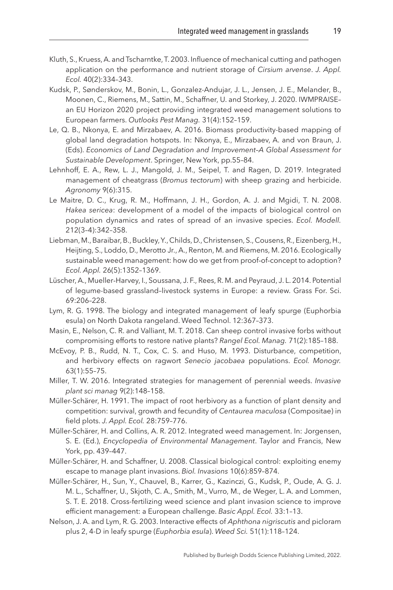- <span id="page-19-9"></span>Kluth, S., Kruess, A. and Tscharntke, T. 2003. Influence of mechanical cutting and pathogen application on the performance and nutrient storage of *Cirsium arvense*. *J. Appl. Ecol.* 40(2):334–343.
- <span id="page-19-1"></span>Kudsk, P., Sønderskov, M., Bonin, L., Gonzalez-Andujar, J. L., Jensen, J. E., Melander, B., Moonen, C., Riemens, M., Sattin, M., Schaffner, U. and Storkey, J. 2020. IWMPRAISE– an EU Horizon 2020 project providing integrated weed management solutions to European farmers. *Outlooks Pest Manag.* 31(4):152–159.
- <span id="page-19-0"></span>Le, Q. B., Nkonya, E. and Mirzabaev, A. 2016. Biomass productivity-based mapping of global land degradation hotspots. In: Nkonya, E., Mirzabaev, A. and von Braun, J. (Eds). *Economics of Land Degradation and Improvement–A Global Assessment for Sustainable Development*. Springer, New York, pp.55–84.
- <span id="page-19-8"></span>Lehnhoff, E. A., Rew, L. J., Mangold, J. M., Seipel, T. and Ragen, D. 2019. Integrated management of cheatgrass (*Bromus tectorum*) with sheep grazing and herbicide. *Agronomy* 9(6):315.
- <span id="page-19-13"></span>Le Maitre, D. C., Krug, R. M., Hoffmann, J. H., Gordon, A. J. and Mgidi, T. N. 2008. *Hakea sericea*: development of a model of the impacts of biological control on population dynamics and rates of spread of an invasive species. *Ecol. Modell.* 212(3–4):342–358.
- <span id="page-19-15"></span>Liebman, M., Baraibar, B., Buckley, Y., Childs, D., Christensen, S., Cousens, R., Eizenberg, H., Heijting, S., Loddo, D., Merotto Jr., A., Renton, M. and Riemens, M. 2016. Ecologically sustainable weed management: how do we get from proof‐of‐concept to adoption? *Ecol. Appl.* 26(5):1352–1369.
- <span id="page-19-4"></span>Lüscher, A., Mueller‐Harvey, I., Soussana, J. F., Rees, R. M. and Peyraud, J. L. 2014. Potential of legume-based grassland–livestock systems in Europe: a review. Grass For. Sci. 69:206–228.
- <span id="page-19-12"></span>Lym, R. G. 1998. The biology and integrated management of leafy spurge (Euphorbia esula) on North Dakota rangeland. Weed Technol. 12:367–373.
- <span id="page-19-3"></span>Masin, E., Nelson, C. R. and Valliant, M. T. 2018. Can sheep control invasive forbs without compromising efforts to restore native plants? *Rangel Ecol. Manag.* 71(2):185–188.
- <span id="page-19-6"></span>McEvoy, P. B., Rudd, N. T., Cox, C. S. and Huso, M. 1993. Disturbance, competition, and herbivory effects on ragwort *Senecio jacobaea* populations. *Ecol. Monogr.* 63(1):55–75.
- <span id="page-19-7"></span>Miller, T. W. 2016. Integrated strategies for management of perennial weeds. *Invasive plant sci manag* 9(2):148–158.
- <span id="page-19-10"></span>Müller-Schärer, H. 1991. The impact of root herbivory as a function of plant density and competition: survival, growth and fecundity of *Centaurea maculosa* (Compositae) in field plots. *J. Appl. Ecol.* 28:759–776.
- <span id="page-19-14"></span>Müller-Schärer, H. and Collins, A. R. 2012. Integrated weed management. In: Jorgensen, S. E. (Ed.), *Encyclopedia of Environmental Management*. Taylor and Francis, New York, pp. 439–447.
- <span id="page-19-5"></span>Müller-Schärer, H. and Schaffner, U. 2008. Classical biological control: exploiting enemy escape to manage plant invasions. *Biol. Invasions* 10(6):859–874.
- <span id="page-19-2"></span>Müller-Schärer, H., Sun, Y., Chauvel, B., Karrer, G., Kazinczi, G., Kudsk, P., Oude, A. G. J. M. L., Schaffner, U., Skjoth, C. A., Smith, M., Vurro, M., de Weger, L. A. and Lommen, S. T. E. 2018. Cross-fertilizing weed science and plant invasion science to improve efficient management: a European challenge. *Basic Appl. Ecol.* 33:1–13.
- <span id="page-19-11"></span>Nelson, J. A. and Lym, R. G. 2003. Interactive effects of *Aphthona nigriscutis* and picloram plus 2, 4-D in leafy spurge (*Euphorbia esula*). *Weed Sci.* 51(1):118–124.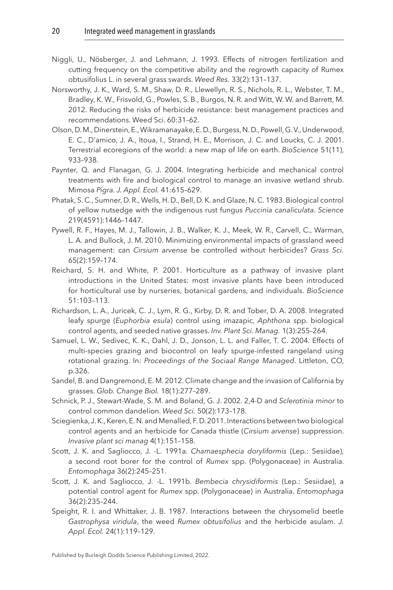- <span id="page-20-9"></span>Niggli, U., Nösberger, J. and Lehmann, J. 1993. Effects of nitrogen fertilization and cutting frequency on the competitive ability and the regrowth capacity of Rumex obtusifolius L. in several grass swards. *Weed Res.* 33(2):131–137.
- <span id="page-20-1"></span>Norsworthy, J. K., Ward, S. M., Shaw, D. R., Llewellyn, R. S., Nichols, R. L., Webster, T. M., Bradley, K. W., Frisvold, G., Powles, S. B., Burgos, N. R. and Witt, W. W. and Barrett, M. 2012. Reducing the risks of herbicide resistance: best management practices and recommendations. Weed Sci. 60:31–62.
- <span id="page-20-0"></span>Olson, D. M., Dinerstein, E., Wikramanayake, E. D., Burgess, N. D., Powell, G. V., Underwood, E. C., D'amico, J. A., Itoua, I., Strand, H. E., Morrison, J. C. and Loucks, C. J. 2001. Terrestrial ecoregions of the world: a new map of life on earth. *BioScience* 51(11), 933–938.
- <span id="page-20-7"></span>Paynter, Q. and Flanagan, G. J. 2004. Integrating herbicide and mechanical control treatments with fire and biological control to manage an invasive wetland shrub. Mimosa *Pigra. J. Appl. Ecol.* 41:615–629.
- <span id="page-20-10"></span>Phatak, S. C., Sumner, D. R., Wells, H. D., Bell, D. K. and Glaze, N. C. 1983. Biological control of yellow nutsedge with the indigenous rust fungus *Puccinia canaliculata*. *Science* 219(4591):1446–1447.
- <span id="page-20-11"></span>Pywell, R. F., Hayes, M. J., Tallowin, J. B., Walker, K. J., Meek, W. R., Carvell, C., Warman, L. A. and Bullock, J. M. 2010. Minimizing environmental impacts of grassland weed management: can *Cirsium arvense* be controlled without herbicides? *Grass Sci.* 65(2):159–174.
- <span id="page-20-2"></span>Reichard, S. H. and White, P. 2001. Horticulture as a pathway of invasive plant introductions in the United States: most invasive plants have been introduced for horticultural use by nurseries, botanical gardens, and individuals. *BioScience* 51:103–113.
- <span id="page-20-6"></span>Richardson, L. A., Juricek, C. J., Lym, R. G., Kirby, D. R. and Tober, D. A. 2008. Integrated leafy spurge (*Euphorbia esula*) control using imazapic, *Aphthona* spp. biological control agents, and seeded native grasses. *Inv. Plant Sci. Manag.* 1(3):255–264.
- <span id="page-20-3"></span>Samuel, L. W., Sedivec, K. K., Dahl, J. D., Jonson, L. L. and Faller, T. C. 2004. Effects of multi-species grazing and biocontrol on leafy spurge-infested rangeland using rotational grazing. In: *Proceedings of the Sociaal Range Managed*. Littleton, CO, p.326.
- <span id="page-20-14"></span>Sandel, B. and Dangremond, E. M. 2012. Climate change and the invasion of California by grasses. *Glob. Change Biol.* 18(1):277–289.
- <span id="page-20-5"></span>Schnick, P. J., Stewart-Wade, S. M. and Boland, G. J. 2002. 2,4-D and *Sclerotinia minor* to control common dandelion. *Weed Sci.* 50(2):173–178.
- <span id="page-20-4"></span>Sciegienka, J. K., Keren, E. N. and Menalled, F. D. 2011. Interactions between two biological control agents and an herbicide for Canada thistle (*Cirsium arvense*) suppression. *Invasive plant sci manag* 4(1):151–158.
- <span id="page-20-12"></span>Scott, J. K. and Sagliocco, J. -L. 1991a. *Chamaesphecia doryliformis* (Lep.: Sesiidae), a second root borer for the control of *Rumex* spp. (Polygonaceae) in Australia. *Entomophaga* 36(2):245–251.
- <span id="page-20-13"></span>Scott, J. K. and Sagliocco, J. -L. 1991b. *Bembecia chrysidiformis* (Lep.: Sesiidae), a potential control agent for *Rumex* spp. (Polygonaceae) in Australia. *Entomophaga* 36(2):235–244.
- <span id="page-20-8"></span>Speight, R. I. and Whittaker, J. B. 1987. Interactions between the chrysomelid beetle *Gastrophysa viridula*, the weed *Rumex obtusifolius* and the herbicide asulam. *J. Appl. Ecol.* 24(1):119–129.